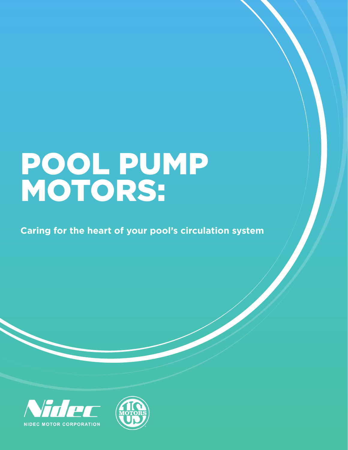# POOL PUMP MOTORS:

**Caring for the heart of your pool's circulation system**



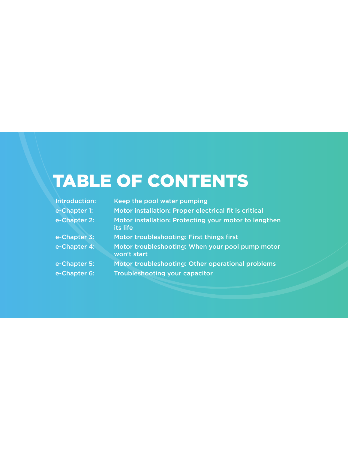## TABLE OF CONTENTS

| Introduction: | Keep the pool water pumping                                       |
|---------------|-------------------------------------------------------------------|
| e-Chapter 1:  | Motor installation: Proper electrical fit is critical             |
| e-Chapter 2:  | Motor installation: Protecting your motor to lengthen<br>its life |
| e-Chapter 3:  | Motor troubleshooting: First things first                         |
| e-Chapter 4:  | Motor troubleshooting: When your pool pump motor<br>won't start   |
| e-Chapter 5:  | Motor troubleshooting: Other operational problems                 |
| e-Chapter 6:  | <b>Troubleshooting your capacitor</b>                             |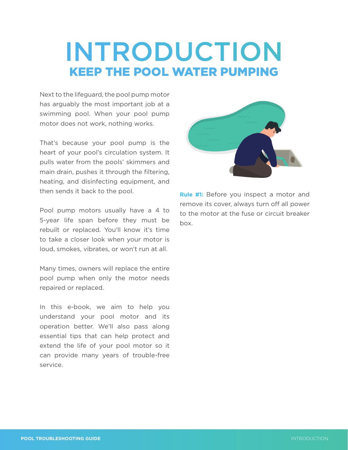## **INTRODUCTION** KEEP THE POOL WATER PUMPING

Next to the lifeguard, the pool pump motor has arguably the most important job at a swimming pool. When your pool pump motor does not work, nothing works.

That's because your pool pump is the heart of your pool's circulation system. It pulls water from the pools' skimmers and main drain, pushes it through the filtering, heating, and disinfecting equipment, and then sends it back to the pool.

Pool pump motors usually have a 4 to 5-year life span before they must be rebuilt or replaced. You'll know it's time to take a closer look when your motor is loud, smokes, vibrates, or won't run at all.

Many times, owners will replace the entire pool pump when only the motor needs repaired or replaced.

In this e-book, we aim to help you understand your pool motor and its operation better. We'll also pass along essential tips that can help protect and extend the life of your pool motor so it can provide many years of trouble-free service.



**Rule #1:** Before you inspect a motor and remove its cover, always turn off all power to the motor at the fuse or circuit breaker box.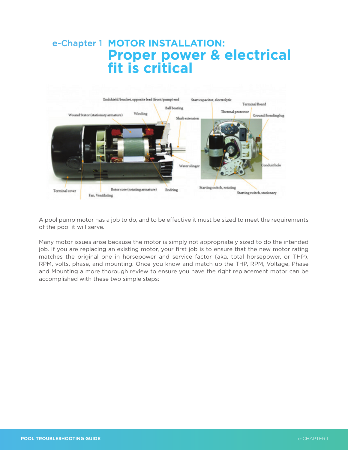## e-Chapter 1 **MOTOR INSTALLATION: Proper power & electrical fit is critical**



A pool pump motor has a job to do, and to be effective it must be sized to meet the requirements of the pool it will serve.

Many motor issues arise because the motor is simply not appropriately sized to do the intended job. If you are replacing an existing motor, your first job is to ensure that the new motor rating matches the original one in horsepower and service factor (aka, total horsepower, or THP), RPM, volts, phase, and mounting. Once you know and match up the THP, RPM, Voltage, Phase and Mounting a more thorough review to ensure you have the right replacement motor can be accomplished with these two simple steps: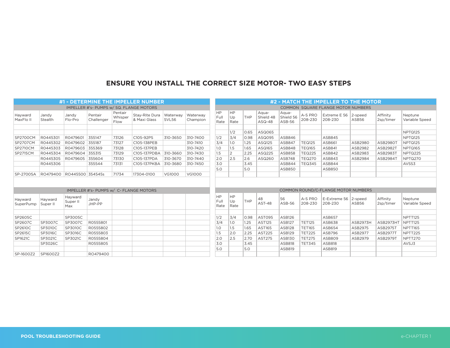## **ENSURE YOU INSTALL THE CORRECT SIZE MOTOR- TWO EASY STEPS**

| #1 - DETERMINE THE IMPELLER NUMBER       |                     |                            |                       |                            |                                |                                    | #2 - MATCH THE IMPELLER TO THE MOTOR |                           |                  |      |                                |                                     |                    |                                 |                  |                       |                           |
|------------------------------------------|---------------------|----------------------------|-----------------------|----------------------------|--------------------------------|------------------------------------|--------------------------------------|---------------------------|------------------|------|--------------------------------|-------------------------------------|--------------------|---------------------------------|------------------|-----------------------|---------------------------|
| IMPELLER #'s- PUMPS w/ SQ. FLANGE MOTORS |                     |                            |                       |                            |                                | COMMON SQUARE FLANGE MOTOR NUMBERS |                                      |                           |                  |      |                                |                                     |                    |                                 |                  |                       |                           |
| Hayward<br>MaxFlo II                     | Jandy<br>Stealth    | Jandy<br>Flo-Pro           | Pentair<br>Challenger | Pentair<br>Whisper<br>Flow | Stay-Rite Dura<br>& Maxi Glass | Waterway<br>SVL56                  | Waterway<br>Champion                 | HP<br>Full<br>Rate        | HP<br>Up<br>Rate | THP  | Aqua-<br>Shield 48<br>$ASQ-48$ | Aqua-<br>Shield 56<br><b>ASB-56</b> | A-S PRO<br>208-230 | Extreme E 56<br>208-230         | 2-speed<br>ASB56 | Affinity<br>2sp/timer | Neptune<br>Variable Speed |
|                                          |                     |                            |                       |                            |                                |                                    |                                      |                           | 1/2              | 0.65 | ASQ065                         |                                     |                    |                                 |                  |                       | NPTQ125                   |
| <b>SP2700CM</b>                          | R0445301            | R0479601                   | 355147                | 73126                      | C105-92PS                      | 310-3650                           | 310-7400                             | 1/2                       | 3/4              | 0.98 | ASQ095                         | ASB846                              |                    | ASB845                          |                  |                       | NPTQ125                   |
| SP2707CM                                 | R0445302            | R0479602                   | 355187                | 73127                      | C105-138PEB                    |                                    | 310-7410                             | 3/4                       | 1.O              | 1.25 | ASQ125                         | <b>ASB847</b>                       | <b>TEQ125</b>      | ASB661                          | ASB2980          | ASB2980T              | NPTQ125                   |
| <b>SP2710CM</b>                          | R0445303            | R0479603                   | 355369                | 73128                      | C105-137PEB                    |                                    | 310-7420                             | 1.0                       | 1.5              | 1.65 | ASQ165                         | ASB848                              | <b>TEQ165</b>      | <b>ASB841</b>                   | ASB2982          | ASB2982T              | NPTQ165                   |
| <b>SP2715CM</b>                          | R0445304            | R0479604                   | 355315                | 73129                      | C105-137PDBA                   | 310-3660                           | 310-7430                             | 1.5                       | $\overline{2}$   | 2.25 | ASQ225                         | ASB858                              | <b>TEQ225</b>      | ASB842                          | ASB2983          | ASB2983T              | NPTQ225                   |
|                                          | R0445305            | R0479605                   | 355604                | 73130                      | C105-137PDA                    | 310-3670                           | 310-7440                             | 2.0                       | 2.5              | 2.6  | ASQ260                         | <b>ASB748</b>                       | <b>TEQ270</b>      | ASB843                          | ASB2984          | ASB2984T              | NPTQ270                   |
|                                          | R0445306            |                            | 355544                | 73131                      | C105-137PKBA                   | 310-3680                           | 310-7450                             | 3.0                       |                  | 3.45 |                                | ASB844                              | <b>TEQ345</b>      | ASB844                          |                  |                       | AVSS3                     |
|                                          |                     |                            |                       |                            |                                |                                    |                                      | 5.0                       |                  | 5.0  |                                | <b>ASB850</b>                       |                    | ASB850                          |                  |                       |                           |
| SP-2700SA                                | RO479400            | RO445500 354545s           |                       | 71734                      | 17304-0100                     | <b>VG1000</b>                      | VG1000                               |                           |                  |      |                                |                                     |                    |                                 |                  |                       |                           |
|                                          |                     |                            |                       |                            |                                |                                    |                                      |                           |                  |      |                                |                                     |                    |                                 |                  |                       |                           |
| IMPELLER #'s- PUMPS w/ C- FLANGE MOTORS  |                     |                            |                       |                            |                                |                                    | COMMON ROUND/C-FLANGE MOTOR NUMBERS  |                           |                  |      |                                |                                     |                    |                                 |                  |                       |                           |
| Hayward<br>SuperPump                     | Hayward<br>Super II | Hayward<br>Super II<br>Max | Jandy<br>JHP-PP       |                            |                                |                                    |                                      | <b>HP</b><br>Full<br>Rate | HP<br>Up<br>Rate | THP  | 48<br>AST-48                   | 56<br>ASB-56                        | A-S PRO<br>208-230 | E-Extreme 56 2-speed<br>208-230 | ASB56            | Affinity<br>2sp/timer | Neptune<br>Variable Speed |
| SP2605C                                  |                     | SP3005C                    |                       |                            |                                |                                    |                                      | 1/2                       | 3/4              | 0.98 | ASTO95                         | <b>ASB126</b>                       |                    | ASB657                          |                  |                       | NPTT125                   |
| SP2607C                                  | SP3007C             | SP3007C                    | R0555801              |                            |                                |                                    |                                      | 3/4                       | 1.0              | 1.25 | <b>AST125</b>                  | <b>ASB127</b>                       | <b>TET125</b>      | ASB638                          | ASB2973H         | ASB2973HT             | NPTT125                   |
| SP2610C                                  | SP3010C             | SP3010C                    | R0555802              |                            |                                |                                    |                                      | 1.0                       | 1.5              | 1.65 | AST165                         | <b>ASB128</b>                       | <b>TET165</b>      | ASB654                          | ASB2975          | <b>ASB2975T</b>       | NPTT165                   |
| SP2615C                                  | SP3016C             | SP3016C                    | R0555803              |                            |                                |                                    |                                      | 1.5                       | 2.0              | 2.25 | <b>AST225</b>                  | <b>ASB129</b>                       | <b>TET225</b>      | ASB796                          | ASB2977          | <b>ASB2977T</b>       | NPTT225                   |
| SP1621C                                  | SP3021C             | SP3021C                    | R0555804              |                            |                                |                                    |                                      | 2.0                       | 2.5              | 2.70 | <b>AST275</b>                  | <b>ASB130</b>                       | <b>TET275</b>      | ASB809                          | ASB2979          | ASB2979T              | NPTT270                   |
|                                          | SP3026C             |                            | R0555805              |                            |                                |                                    |                                      | 3.0                       |                  | 3.45 |                                | <b>ASB818</b>                       | <b>TET345</b>      | <b>ASB818</b>                   |                  |                       | AVSJ3                     |
|                                          |                     |                            |                       |                            |                                |                                    |                                      | 5.0                       |                  | 5.0  |                                | <b>ASB819</b>                       |                    | <b>ASB819</b>                   |                  |                       |                           |
| SP-1600Z2                                | SP1600Z2            |                            | RO479400              |                            |                                |                                    |                                      |                           |                  |      |                                |                                     |                    |                                 |                  |                       |                           |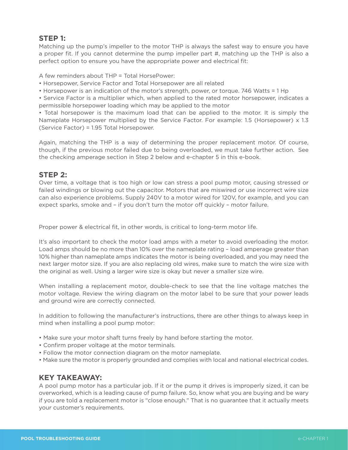## **STEP 1:**

Matching up the pump's impeller to the motor THP is always the safest way to ensure you have a proper fit. If you cannot determine the pump impeller part #, matching up the THP is also a perfect option to ensure you have the appropriate power and electrical fit:

A few reminders about THP = Total HorsePower:

- Horsepower, Service Factor and Total Horsepower are all related
- Horsepower is an indication of the motor's strength, power, or torque. 746 Watts = 1 Hp

• Service Factor is a multiplier which, when applied to the rated motor horsepower, indicates a permissible horsepower loading which may be applied to the motor

• Total horsepower is the maximum load that can be applied to the motor. It is simply the Nameplate Horsepower multiplied by the Service Factor. For example: 1.5 (Horsepower) x 1.3 (Service Factor) = 1.95 Total Horsepower.

Again, matching the THP is a way of determining the proper replacement motor. Of course, though, if the previous motor failed due to being overloaded, we must take further action. See the checking amperage section in Step 2 below and e-chapter 5 in this e-book.

## **STEP 2:**

Over time, a voltage that is too high or low can stress a pool pump motor, causing stressed or failed windings or blowing out the capacitor. Motors that are miswired or use incorrect wire size can also experience problems. Supply 240V to a motor wired for 120V, for example, and you can expect sparks, smoke and – if you don't turn the motor off quickly – motor failure.

Proper power & electrical fit, in other words, is critical to long-term motor life.

It's also important to check the motor load amps with a meter to avoid overloading the motor. Load amps should be no more than 10% over the nameplate rating – load amperage greater than 10% higher than nameplate amps indicates the motor is being overloaded, and you may need the next larger motor size. If you are also replacing old wires, make sure to match the wire size with the original as well. Using a larger wire size is okay but never a smaller size wire.

When installing a replacement motor, double-check to see that the line voltage matches the motor voltage. Review the wiring diagram on the motor label to be sure that your power leads and ground wire are correctly connected.

In addition to following the manufacturer's instructions, there are other things to always keep in mind when installing a pool pump motor:

- Make sure your motor shaft turns freely by hand before starting the motor.
- Confirm proper voltage at the motor terminals.
- Follow the motor connection diagram on the motor nameplate.
- Make sure the motor is properly grounded and complies with local and national electrical codes.

## **KEY TAKEAWAY:**

A pool pump motor has a particular job. If it or the pump it drives is improperly sized, it can be overworked, which is a leading cause of pump failure. So, know what you are buying and be wary if you are told a replacement motor is "close enough." That is no guarantee that it actually meets your customer's requirements.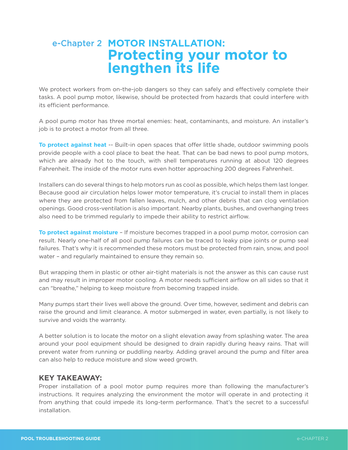## e-Chapter 2 **MOTOR INSTALLATION: Protecting your motor to lengthen its life**

We protect workers from on-the-job dangers so they can safely and effectively complete their tasks. A pool pump motor, likewise, should be protected from hazards that could interfere with its efficient performance.

A pool pump motor has three mortal enemies: heat, contaminants, and moisture. An installer's job is to protect a motor from all three.

**To protect against heat** -- Built-in open spaces that offer little shade, outdoor swimming pools provide people with a cool place to beat the heat. That can be bad news to pool pump motors, which are already hot to the touch, with shell temperatures running at about 120 degrees Fahrenheit. The inside of the motor runs even hotter approaching 200 degrees Fahrenheit.

Installers can do several things to help motors run as cool as possible, which helps them last longer. Because good air circulation helps lower motor temperature, it's crucial to install them in places where they are protected from fallen leaves, mulch, and other debris that can clog ventilation openings. Good cross-ventilation is also important. Nearby plants, bushes, and overhanging trees also need to be trimmed regularly to impede their ability to restrict airflow.

**To protect against moisture** – If moisture becomes trapped in a pool pump motor, corrosion can result. Nearly one-half of all pool pump failures can be traced to leaky pipe joints or pump seal failures. That's why it is recommended these motors must be protected from rain, snow, and pool water – and regularly maintained to ensure they remain so.

But wrapping them in plastic or other air-tight materials is not the answer as this can cause rust and may result in improper motor cooling. A motor needs sufficient airflow on all sides so that it can "breathe," helping to keep moisture from becoming trapped inside.

Many pumps start their lives well above the ground. Over time, however, sediment and debris can raise the ground and limit clearance. A motor submerged in water, even partially, is not likely to survive and voids the warranty.

A better solution is to locate the motor on a slight elevation away from splashing water. The area around your pool equipment should be designed to drain rapidly during heavy rains. That will prevent water from running or puddling nearby. Adding gravel around the pump and filter area can also help to reduce moisture and slow weed growth.

## **KEY TAKEAWAY:**

Proper installation of a pool motor pump requires more than following the manufacturer's instructions. It requires analyzing the environment the motor will operate in and protecting it from anything that could impede its long-term performance. That's the secret to a successful installation.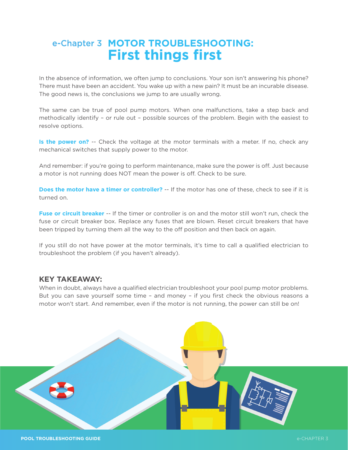## **e-Chapter 3 MOTOR TROUBLESHOOTING: First things first**

In the absence of information, we often jump to conclusions. Your son isn't answering his phone? There must have been an accident. You wake up with a new pain? It must be an incurable disease. The good news is, the conclusions we jump to are usually wrong.

The same can be true of pool pump motors. When one malfunctions, take a step back and methodically identify – or rule out – possible sources of the problem. Begin with the easiest to resolve options.

**Is the power on?** -- Check the voltage at the motor terminals with a meter. If no, check any mechanical switches that supply power to the motor.

And remember: if you're going to perform maintenance, make sure the power is off. Just because a motor is not running does NOT mean the power is off. Check to be sure.

**Does the motor have a timer or controller?** -- If the motor has one of these, check to see if it is turned on.

**Fuse or circuit breaker** -- If the timer or controller is on and the motor still won't run, check the fuse or circuit breaker box. Replace any fuses that are blown. Reset circuit breakers that have been tripped by turning them all the way to the off position and then back on again.

If you still do not have power at the motor terminals, it's time to call a qualified electrician to troubleshoot the problem (if you haven't already).

### **KEY TAKEAWAY:**

When in doubt, always have a qualified electrician troubleshoot your pool pump motor problems. But you can save yourself some time – and money – if you first check the obvious reasons a motor won't start. And remember, even if the motor is not running, the power can still be on!

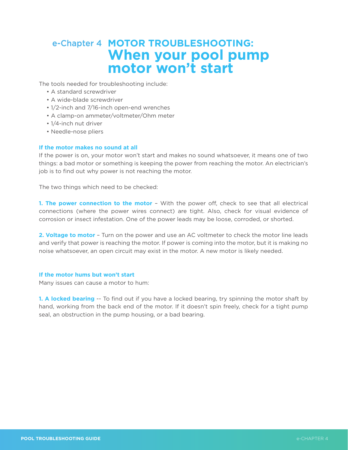## **e-Chapter 4 MOTOR TROUBLESHOOTING: When your pool pump motor won't start**

The tools needed for troubleshooting include:

- A standard screwdriver
- A wide-blade screwdriver
- 1/2-inch and 7/16-inch open-end wrenches
- A clamp-on ammeter/voltmeter/Ohm meter
- 1/4-inch nut driver
- Needle-nose pliers

#### **If the motor makes no sound at all**

If the power is on, your motor won't start and makes no sound whatsoever, it means one of two things: a bad motor or something is keeping the power from reaching the motor. An electrician's job is to find out why power is not reaching the motor.

The two things which need to be checked:

**1. The power connection to the motor** – With the power off, check to see that all electrical connections (where the power wires connect) are tight. Also, check for visual evidence of corrosion or insect infestation. One of the power leads may be loose, corroded, or shorted.

**2. Voltage to motor** – Turn on the power and use an AC voltmeter to check the motor line leads and verify that power is reaching the motor. If power is coming into the motor, but it is making no noise whatsoever, an open circuit may exist in the motor. A new motor is likely needed.

#### **If the motor hums but won't start**

Many issues can cause a motor to hum:

**1. A locked bearing** -- To find out if you have a locked bearing, try spinning the motor shaft by hand, working from the back end of the motor. If it doesn't spin freely, check for a tight pump seal, an obstruction in the pump housing, or a bad bearing.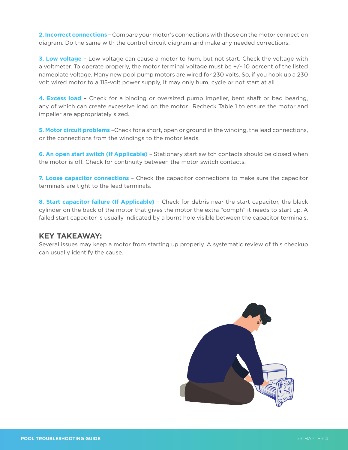**2. Incorrect connections** – Compare your motor's connections with those on the motor connection diagram. Do the same with the control circuit diagram and make any needed corrections.

**3. Low voltage** – Low voltage can cause a motor to hum, but not start. Check the voltage with a voltmeter. To operate properly, the motor terminal voltage must be  $+/-10$  percent of the listed nameplate voltage. Many new pool pump motors are wired for 230 volts. So, if you hook up a 230 volt wired motor to a 115-volt power supply, it may only hum, cycle or not start at all.

**4. Excess load** – Check for a binding or oversized pump impeller, bent shaft or bad bearing, any of which can create excessive load on the motor. Recheck Table 1 to ensure the motor and impeller are appropriately sized.

**5. Motor circuit problems** –Check for a short, open or ground in the winding, the lead connections, or the connections from the windings to the motor leads.

**6. An open start switch (If Applicable)** – Stationary start switch contacts should be closed when the motor is off. Check for continuity between the motor switch contacts.

**7. Loose capacitor connections** – Check the capacitor connections to make sure the capacitor terminals are tight to the lead terminals.

**8. Start capacitor failure (If Applicable)** – Check for debris near the start capacitor, the black cylinder on the back of the motor that gives the motor the extra "oomph" it needs to start up. A failed start capacitor is usually indicated by a burnt hole visible between the capacitor terminals.

### **KEY TAKEAWAY:**

Several issues may keep a motor from starting up properly. A systematic review of this checkup can usually identify the cause.

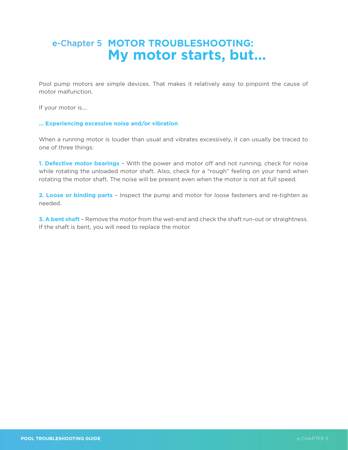## **e-Chapter 5 MOTOR TROUBLESHOOTING: My motor starts, but…**

Pool pump motors are simple devices. That makes it relatively easy to pinpoint the cause of motor malfunction.

If your motor is….

#### **… Experiencing excessive noise and/or vibration**

When a running motor is louder than usual and vibrates excessively, it can usually be traced to one of three things:

**1. Defective motor bearings** – With the power and motor off and not running, check for noise while rotating the unloaded motor shaft. Also, check for a "rough" feeling on your hand when rotating the motor shaft. The noise will be present even when the motor is not at full speed.

**2. Loose or binding parts** – Inspect the pump and motor for loose fasteners and re-tighten as needed.

**3. A bent shaft** – Remove the motor from the wet-end and check the shaft run-out or straightness. If the shaft is bent, you will need to replace the motor.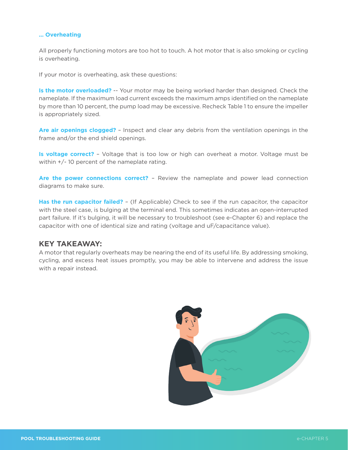#### **… Overheating**

All properly functioning motors are too hot to touch. A hot motor that is also smoking or cycling is overheating.

If your motor is overheating, ask these questions:

**Is the motor overloaded?** -- Your motor may be being worked harder than designed. Check the nameplate. If the maximum load current exceeds the maximum amps identified on the nameplate by more than 10 percent, the pump load may be excessive. Recheck Table 1 to ensure the impeller is appropriately sized.

**Are air openings clogged?** – Inspect and clear any debris from the ventilation openings in the frame and/or the end shield openings.

**Is voltage correct?** – Voltage that is too low or high can overheat a motor. Voltage must be within  $+/-$  10 percent of the nameplate rating.

**Are the power connections correct?** – Review the nameplate and power lead connection diagrams to make sure.

**Has the run capacitor failed?** – (If Applicable) Check to see if the run capacitor, the capacitor with the steel case, is bulging at the terminal end. This sometimes indicates an open-interrupted part failure. If it's bulging, it will be necessary to troubleshoot (see e-Chapter 6) and replace the capacitor with one of identical size and rating (voltage and uF/capacitance value).

#### **KEY TAKEAWAY:**

A motor that regularly overheats may be nearing the end of its useful life. By addressing smoking, cycling, and excess heat issues promptly, you may be able to intervene and address the issue with a repair instead.

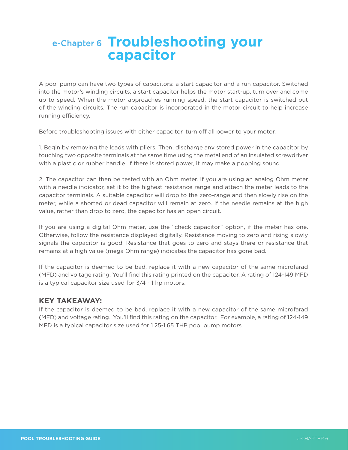## **Troubleshooting your capacitor**

A pool pump can have two types of capacitors: a start capacitor and a run capacitor. Switched into the motor's winding circuits, a start capacitor helps the motor start-up, turn over and come up to speed. When the motor approaches running speed, the start capacitor is switched out of the winding circuits. The run capacitor is incorporated in the motor circuit to help increase running efficiency.

Before troubleshooting issues with either capacitor, turn off all power to your motor.

1. Begin by removing the leads with pliers. Then, discharge any stored power in the capacitor by touching two opposite terminals at the same time using the metal end of an insulated screwdriver with a plastic or rubber handle. If there is stored power, it may make a popping sound.

2. The capacitor can then be tested with an Ohm meter. If you are using an analog Ohm meter with a needle indicator, set it to the highest resistance range and attach the meter leads to the capacitor terminals. A suitable capacitor will drop to the zero-range and then slowly rise on the meter, while a shorted or dead capacitor will remain at zero. If the needle remains at the high value, rather than drop to zero, the capacitor has an open circuit.

If you are using a digital Ohm meter, use the "check capacitor" option, if the meter has one. Otherwise, follow the resistance displayed digitally. Resistance moving to zero and rising slowly signals the capacitor is good. Resistance that goes to zero and stays there or resistance that remains at a high value (mega Ohm range) indicates the capacitor has gone bad.

If the capacitor is deemed to be bad, replace it with a new capacitor of the same microfarad (MFD) and voltage rating. You'll find this rating printed on the capacitor. A rating of 124-149 MFD is a typical capacitor size used for 3/4 - 1 hp motors.

### **KEY TAKEAWAY:**

If the capacitor is deemed to be bad, replace it with a new capacitor of the same microfarad (MFD) and voltage rating. You'll find this rating on the capacitor. For example, a rating of 124-149 MFD is a typical capacitor size used for 1.25-1.65 THP pool pump motors.